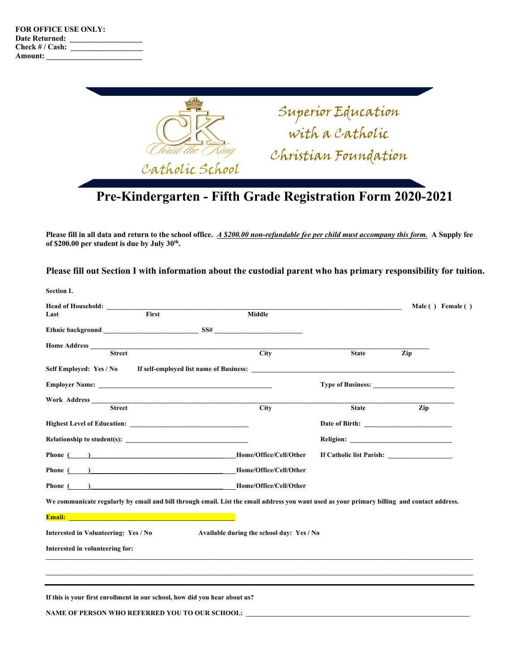**Section I.**



**Please fill in all data and return to the school office.** *A \$200.00 non-refundable fee per child must accompany this form.* **A Supply fee of \$200.00 per student is due by July 30th.** 

**Please fill out Section I with information about the custodial parent who has primary responsibility for tuition.**

| Section 1.                                                                                                                                                                                                                          |                                           |                |                   |
|-------------------------------------------------------------------------------------------------------------------------------------------------------------------------------------------------------------------------------------|-------------------------------------------|----------------|-------------------|
| First<br>Last                                                                                                                                                                                                                       | Middle                                    |                | Male () Female () |
|                                                                                                                                                                                                                                     |                                           |                |                   |
| <b>Street</b>                                                                                                                                                                                                                       | Citv                                      | <b>State</b>   | Zip               |
| Self Employed: Yes / No If self-employed list name of Business:                                                                                                                                                                     |                                           |                |                   |
|                                                                                                                                                                                                                                     |                                           |                |                   |
| <b>Street</b>                                                                                                                                                                                                                       | <b>City</b>                               | <b>State</b>   | Zip               |
|                                                                                                                                                                                                                                     |                                           | Date of Birth: |                   |
|                                                                                                                                                                                                                                     |                                           |                |                   |
| Phone ( ) Home/Office/Cell/Other                                                                                                                                                                                                    |                                           |                |                   |
| Phone ( ) Home/Office/Cell/Other                                                                                                                                                                                                    |                                           |                |                   |
| Phone ( ) Home/Office/Cell/Other                                                                                                                                                                                                    |                                           |                |                   |
| We communicate regularly by email and bill through email. List the email address you want used as your primary billing and contact address.                                                                                         |                                           |                |                   |
| <b>Email:</b> Email: The Contract of the Contract of the Contract of the Contract of the Contract of the Contract of the Contract of the Contract of the Contract of the Contract of the Contract of the Contract of the Contract o |                                           |                |                   |
| Interested in Volunteering: Yes / No                                                                                                                                                                                                | Available during the school day: Yes / No |                |                   |
| Interested in volunteering for:                                                                                                                                                                                                     |                                           |                |                   |
|                                                                                                                                                                                                                                     |                                           |                |                   |
|                                                                                                                                                                                                                                     |                                           |                |                   |

NAME OF PERSON WHO REFERRED YOU TO OUR SCHOOL: \_\_\_\_\_\_\_\_\_\_\_\_\_\_\_\_\_\_\_\_\_\_\_\_\_\_\_\_\_\_\_\_\_\_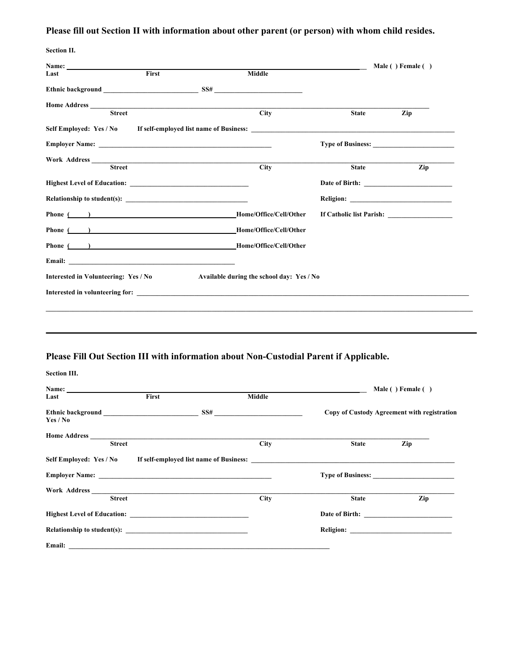# **Please fill out Section II with information about other parent (or person) with whom child resides.**

| <b>Section II.</b>                   |                                                                                              |                                           |              |                   |
|--------------------------------------|----------------------------------------------------------------------------------------------|-------------------------------------------|--------------|-------------------|
|                                      |                                                                                              |                                           |              | Male () Female () |
| Last                                 | First                                                                                        | Middle                                    |              |                   |
|                                      |                                                                                              | Ethnic background SS#                     |              |                   |
| Home Address                         | <u> 1989 - Johann Stein, markin fan de Amerikaansk kommunister (* 1958)</u><br><b>Street</b> | $\overline{\text{City}}$                  | <b>State</b> | Zip               |
|                                      |                                                                                              |                                           |              |                   |
|                                      |                                                                                              |                                           |              |                   |
|                                      |                                                                                              |                                           |              |                   |
|                                      |                                                                                              |                                           |              |                   |
|                                      | <b>Street</b>                                                                                | $\overline{City}$                         | <b>State</b> | Zip               |
|                                      |                                                                                              |                                           |              |                   |
|                                      |                                                                                              |                                           |              |                   |
|                                      |                                                                                              | Phone ( ) Home/Office/Cell/Other          |              |                   |
|                                      |                                                                                              | Phone ( ) Home/Office/Cell/Other          |              |                   |
|                                      |                                                                                              | Phone ( ) Home/Office/Cell/Other          |              |                   |
|                                      |                                                                                              |                                           |              |                   |
| Interested in Volunteering: Yes / No |                                                                                              | Available during the school day: Yes / No |              |                   |
|                                      |                                                                                              |                                           |              |                   |
|                                      |                                                                                              |                                           |              |                   |

# **Please Fill Out Section III with information about Non-Custodial Parent if Applicable.**

| Section III.                                                                                                                                                                                                                        |       |                   |              |                                             |
|-------------------------------------------------------------------------------------------------------------------------------------------------------------------------------------------------------------------------------------|-------|-------------------|--------------|---------------------------------------------|
| Name: $\qquad \qquad$                                                                                                                                                                                                               |       |                   |              | Male () Female ()                           |
| Last                                                                                                                                                                                                                                | First | Middle            |              |                                             |
| Yes / No                                                                                                                                                                                                                            |       |                   |              | Copy of Custody Agreement with registration |
| Home Address $\overline{\qquad \qquad }$<br><b>Street</b>                                                                                                                                                                           |       | $\overline{City}$ | <b>State</b> | Zip                                         |
| Self Employed: Yes / No If self-employed list name of Business:                                                                                                                                                                     |       |                   |              |                                             |
|                                                                                                                                                                                                                                     |       |                   |              |                                             |
|                                                                                                                                                                                                                                     |       |                   |              |                                             |
| <b>Street</b>                                                                                                                                                                                                                       |       | <b>City</b>       | <b>State</b> | Zip                                         |
| <b>Highest Level of Education:</b>                                                                                                                                                                                                  |       |                   |              |                                             |
|                                                                                                                                                                                                                                     |       |                   |              |                                             |
| Email: <u>Alexander and Communications</u> and Communications and Communications and Communications and Communications and Communications and Communications and Communications and Communications and Communications and Communica |       |                   |              |                                             |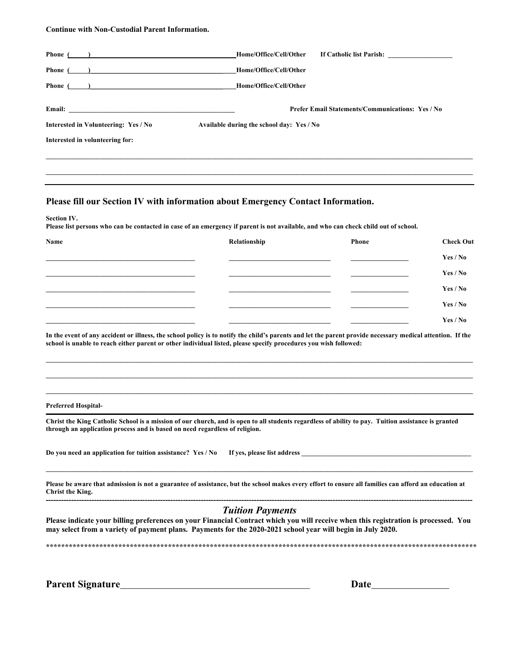#### **Continue with Non-Custodial Parent Information.**

| Phone (<br>$\overline{a}$                                                                                                                                                                                                                                                                                                                     | Home/Office/Cell/Other<br>If Catholic list Parish:      |
|-----------------------------------------------------------------------------------------------------------------------------------------------------------------------------------------------------------------------------------------------------------------------------------------------------------------------------------------------|---------------------------------------------------------|
| Phone (                                                                                                                                                                                                                                                                                                                                       | Home/Office/Cell/Other                                  |
| Phone (<br>$\overline{1}$ and $\overline{1}$ and $\overline{1}$ and $\overline{1}$ and $\overline{1}$ and $\overline{1}$ and $\overline{1}$ and $\overline{1}$ and $\overline{1}$ and $\overline{1}$ and $\overline{1}$ and $\overline{1}$ and $\overline{1}$ and $\overline{1}$ and $\overline{1}$ and $\overline{1}$ and $\overline{1}$ and | Home/Office/Cell/Other                                  |
|                                                                                                                                                                                                                                                                                                                                               | <b>Prefer Email Statements/Communications: Yes / No</b> |
| Interested in Volunteering: Yes / No                                                                                                                                                                                                                                                                                                          | Available during the school day: Yes / No               |
| Interested in volunteering for:                                                                                                                                                                                                                                                                                                               |                                                         |
|                                                                                                                                                                                                                                                                                                                                               |                                                         |
|                                                                                                                                                                                                                                                                                                                                               |                                                         |
|                                                                                                                                                                                                                                                                                                                                               |                                                         |

### **Please fill our Section IV with information about Emergency Contact Information.**

**Section IV.** 

**Please list persons who can be contacted in case of an emergency if parent is not available, and who can check child out of school.**

| Name | Relationship | Phone | <b>Check Out</b> |
|------|--------------|-------|------------------|
|      |              |       | Yes / No         |
|      |              |       | Yes / No         |
|      |              |       | Yes / No         |
|      |              |       | Yes / No         |
|      |              |       | Yes / No         |

**In the event of any accident or illness, the school policy is to notify the child's parents and let the parent provide necessary medical attention. If the school is unable to reach either parent or other individual listed, please specify procedures you wish followed:** 

**\_\_\_\_\_\_\_\_\_\_\_\_\_\_\_\_\_\_\_\_\_\_\_\_\_\_\_\_\_\_\_\_\_\_\_\_\_\_\_\_\_\_\_\_\_\_\_\_\_\_\_\_\_\_\_\_\_\_\_\_\_\_\_\_\_\_\_\_\_\_\_\_\_\_\_\_\_\_\_\_\_\_\_\_\_\_\_\_\_\_\_\_\_\_\_\_\_\_\_\_\_\_\_\_\_\_\_\_\_\_\_\_\_\_\_\_\_\_\_\_\_\_\_\_\_\_ \_\_\_\_\_\_\_\_\_\_\_\_\_\_\_\_\_\_\_\_\_\_\_\_\_\_\_\_\_\_\_\_\_\_\_\_\_\_\_\_\_\_\_\_\_\_\_\_\_\_\_\_\_\_\_\_\_\_\_\_\_\_\_\_\_\_\_\_\_\_\_\_\_\_\_\_\_\_\_\_\_\_\_\_\_\_\_\_\_\_\_\_\_\_\_\_\_\_\_\_\_\_\_\_\_\_\_\_\_\_\_\_\_\_\_\_\_\_\_\_\_\_\_\_\_\_**  $\mathcal{L} = \{ \mathcal{L} = \{ \mathcal{L} = \{ \mathcal{L} = \{ \mathcal{L} = \{ \mathcal{L} = \{ \mathcal{L} = \{ \mathcal{L} = \{ \mathcal{L} = \{ \mathcal{L} = \{ \mathcal{L} = \{ \mathcal{L} = \{ \mathcal{L} = \{ \mathcal{L} = \{ \mathcal{L} = \{ \mathcal{L} = \{ \mathcal{L} = \{ \mathcal{L} = \{ \mathcal{L} = \{ \mathcal{L} = \{ \mathcal{L} = \{ \mathcal{L} = \{ \mathcal{L} = \{ \mathcal{L} = \{ \mathcal{$ 

**Preferred Hospital-**

**Christ the King Catholic School is a mission of our church, and is open to all students regardless of ability to pay. Tuition assistance is granted through an application process and is based on need regardless of religion.** 

**Do you need an application for tuition assistance? Yes / No If yes, please list address \_\_\_\_\_\_\_\_\_\_\_\_\_\_\_\_\_\_\_\_\_\_\_\_\_\_\_\_\_\_\_\_\_\_\_\_\_\_\_\_\_\_\_\_\_\_\_\_\_\_**

**Please be aware that admission is not a guarantee of assistance, but the school makes every effort to ensure all families can afford an education at Christ the King. ------------------------------------------------------------------------------------------------------------------------------------------------------------------------**

 $\mathcal{L} = \{ \mathcal{L} = \{ \mathcal{L} = \{ \mathcal{L} = \{ \mathcal{L} = \{ \mathcal{L} = \{ \mathcal{L} = \{ \mathcal{L} = \{ \mathcal{L} = \{ \mathcal{L} = \{ \mathcal{L} = \{ \mathcal{L} = \{ \mathcal{L} = \{ \mathcal{L} = \{ \mathcal{L} = \{ \mathcal{L} = \{ \mathcal{L} = \{ \mathcal{L} = \{ \mathcal{L} = \{ \mathcal{L} = \{ \mathcal{L} = \{ \mathcal{L} = \{ \mathcal{L} = \{ \mathcal{L} = \{ \mathcal{$ 

### *Tuition Payments*

**Please indicate your billing preferences on your Financial Contract which you will receive when this registration is processed. You may select from a variety of payment plans. Payments for the 2020-2021 school year will begin in July 2020.** 

**\*\*\*\*\*\*\*\*\*\*\*\*\*\*\*\*\*\*\*\*\*\*\*\*\*\*\*\*\*\*\*\*\*\*\*\*\*\*\*\*\*\*\*\*\*\*\*\*\*\*\*\*\*\*\*\*\*\*\*\*\*\*\*\*\*\*\*\*\*\*\*\*\*\*\*\*\*\*\*\*\*\*\*\*\*\*\*\*\*\*\*\*\*\*\*\*\*\*\*\*\*\*\*\*\*\*\*\*\*\*\*\*\***